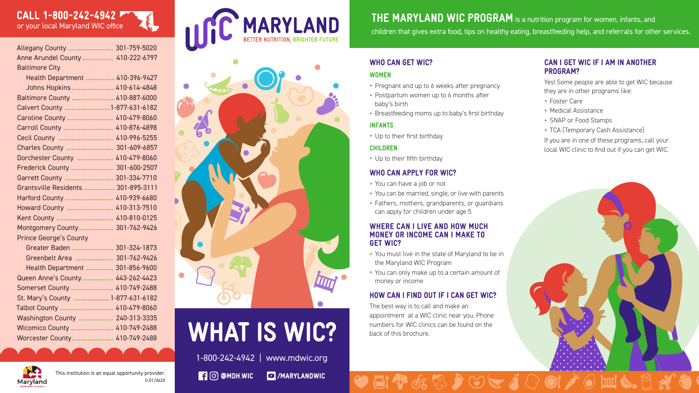This institution is an equal opportunity provider. O-01/0620 1-800-242-4942 | www.mdwic.org  $\Box$   $\Box$  @ MDH.WIC MARYLANDWIC

#### CAN I GET WIC IF I AM IN ANOTHER PROGRAM?

Yes! Some people are able to get WIC because they are in other programs like:

- Foster Care
- Medical Assistance
- SNAP or Food Stamps
- TCA (Temporary Cash Assistance)
- Pregnant and up to 6 weeks after pregnancy
- Postpartum women up to 6 months after baby's birth
- Breastfeeding moms up to baby's first birthday

If you are in one of these programs, call your local WIC clinic to find out if you can get WIC.



#### WHO CAN GET WIC?

#### WOMEN

#### INFANTS

• Up to their first birthday

#### CHILDREN

• Up to their fifth birthday

#### WHO CAN APPLY FOR WIC?

- You can have a job or not
- You can be married, single, or live with parents
- Fathers, mothers, grandparents, or guardians can apply for children under age 5

#### WHERE CAN I LIVE AND HOW MUCH MONEY OR INCOME CAN I MAKE TO GET WIC?

- You must live in the state of Maryland to be in the Maryland WIC Program
- You can only make up to a certain amount of money or income

#### HOW CAN I FIND OUT IF I CAN GET WIC?

The best way is to call and make an appointment at a WIC clinic near you. Phone numbers for WIC clinics can be found on the back of this brochure.



# CALL 1-800-242-4942

| Allegany County 301-759-5020        |  |
|-------------------------------------|--|
| Anne Arundel County  410-222-6797   |  |
| <b>Baltimore City</b>               |  |
| Health Department  410-396-9427     |  |
| Johns Hopkins  410-614-4848         |  |
| Baltimore County  410-887-6000      |  |
| Calvert County  1-877-631-6182      |  |
| Caroline County  410-479-8060       |  |
| Carroll County  410-876-4898        |  |
| Cecil County  410-996-5255          |  |
|                                     |  |
| Dorchester County  410-479-8060     |  |
| Frederick County  301-600-2507      |  |
| Garrett County  301-334-7710        |  |
| Grantsville Residents  301-895-3111 |  |
| Harford County  410-939-6680        |  |
| Howard County  410-313-7510         |  |
|                                     |  |
| Montgomery County 301-762-9426      |  |
| <b>Prince George's County</b>       |  |
| Greater Baden  301-324-1873         |  |
| Greenbelt Area  301-762-9426        |  |
| Health Department  301-856-9600     |  |
| Queen Anne's County  443-262-4423   |  |
| Somerset County  410-749-2488       |  |
| St. Mary's County  1-877-631-6182   |  |

Talbot County ............................... 410-479-8060 Washington County .................... 240-313-3335 Wicomico County ......................... 410-749-2488 Worcester County........................ 410-749-2488

THE MARYLAND WIC PROGRAM is a nutrition program for women, infants, and





# **WHAT IS WIC?**